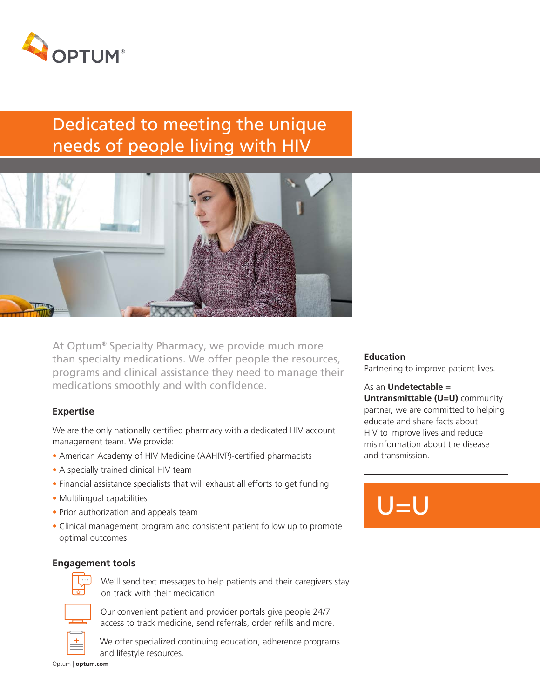

# Dedicated to meeting the unique needs of people living with HIV



At Optum® Specialty Pharmacy, we provide much more than specialty medications. We offer people the resources, programs and clinical assistance they need to manage their medications smoothly and with confidence.

## **Expertise**

We are the only nationally certified pharmacy with a dedicated HIV account management team. We provide:

- American Academy of HIV Medicine (AAHIVP)-certified pharmacists
- A specially trained clinical HIV team
- Financial assistance specialists that will exhaust all efforts to get funding
- Multilingual capabilities
- Prior authorization and appeals team
- Clinical management program and consistent patient follow up to promote optimal outcomes

## **Engagement tools**



 We'll send text messages to help patients and their caregivers stay on track with their medication.



 Our convenient patient and provider portals give people 24/7 access to track medicine, send referrals, order refills and more.

Optum | **optum.com**

 We offer specialized continuing education, adherence programs and lifestyle resources.

#### **Education**

Partnering to improve patient lives.

#### As an **Undetectable =**

**Untransmittable (U=U)** community partner, we are committed to helping educate and share facts about HIV to improve lives and reduce misinformation about the disease and transmission.

# $U=U$